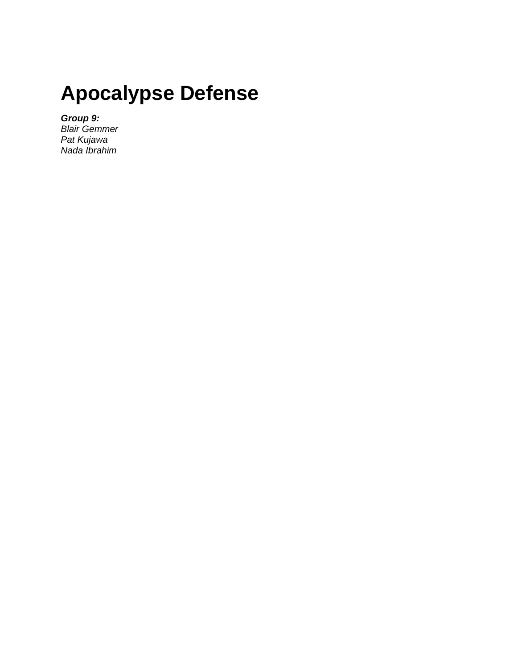# **Apocalypse Defense**

*Group 9:*

*Blair Gemmer Pat Kujawa Nada Ibrahim*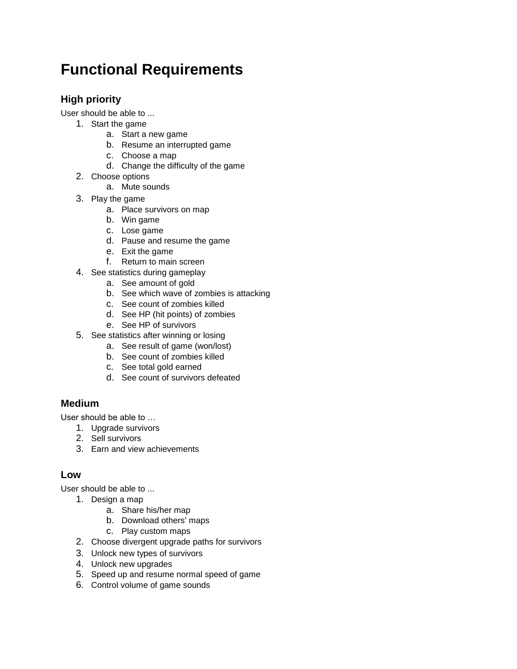## **Functional Requirements**

### **High priority**

User should be able to ...

- 1. Start the game
	- a. Start a new game
	- b. Resume an interrupted game
	- c. Choose a map
	- d. Change the difficulty of the game
- 2. Choose options
	- a. Mute sounds
- 3. Play the game
	- a. Place survivors on map
	- b. Win game
	- c. Lose game
	- d. Pause and resume the game
	- e. Exit the game
	- f. Return to main screen
- 4. See statistics during gameplay
	- a. See amount of gold
	- b. See which wave of zombies is attacking
	- c. See count of zombies killed
	- d. See HP (hit points) of zombies
	- e. See HP of survivors
- 5. See statistics after winning or losing
	- a. See result of game (won/lost)
	- b. See count of zombies killed
	- c. See total gold earned
	- d. See count of survivors defeated

#### **Medium**

User should be able to …

- 1. Upgrade survivors
- 2. Sell survivors
- 3. Earn and view achievements

#### **Low**

User should be able to ...

- 1. Design a map
	- a. Share his/her map
	- b. Download others' maps
	- c. Play custom maps
- 2. Choose divergent upgrade paths for survivors
- 3. Unlock new types of survivors
- 4. Unlock new upgrades
- 5. Speed up and resume normal speed of game
- 6. Control volume of game sounds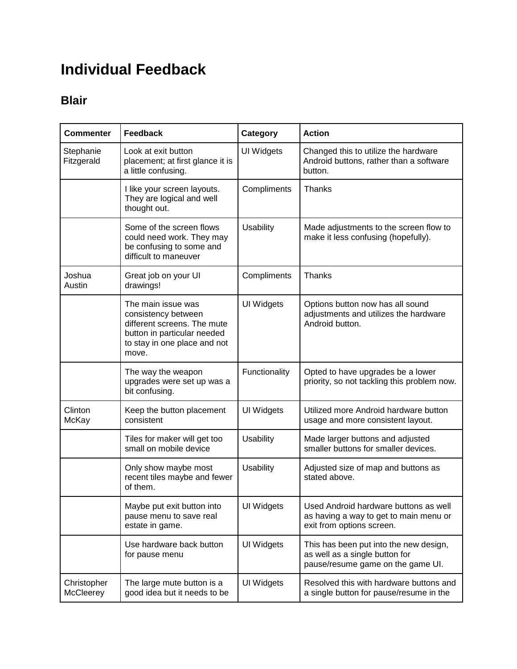## **Individual Feedback**

### **Blair**

| <b>Commenter</b>                | <b>Feedback</b>                                                                                                                                  | Category         | <b>Action</b>                                                                                                 |
|---------------------------------|--------------------------------------------------------------------------------------------------------------------------------------------------|------------------|---------------------------------------------------------------------------------------------------------------|
| Stephanie<br>Fitzgerald         | Look at exit button<br>placement; at first glance it is<br>a little confusing.                                                                   | UI Widgets       | Changed this to utilize the hardware<br>Android buttons, rather than a software<br>button.                    |
|                                 | I like your screen layouts.<br>They are logical and well<br>thought out.                                                                         | Compliments      | Thanks                                                                                                        |
|                                 | Some of the screen flows<br>could need work. They may<br>be confusing to some and<br>difficult to maneuver                                       | Usability        | Made adjustments to the screen flow to<br>make it less confusing (hopefully).                                 |
| Joshua<br>Austin                | Great job on your UI<br>drawings!                                                                                                                | Compliments      | Thanks                                                                                                        |
|                                 | The main issue was<br>consistency between<br>different screens. The mute<br>button in particular needed<br>to stay in one place and not<br>move. | UI Widgets       | Options button now has all sound<br>adjustments and utilizes the hardware<br>Android button.                  |
|                                 | The way the weapon<br>upgrades were set up was a<br>bit confusing.                                                                               | Functionality    | Opted to have upgrades be a lower<br>priority, so not tackling this problem now.                              |
| Clinton<br>McKay                | Keep the button placement<br>consistent                                                                                                          | UI Widgets       | Utilized more Android hardware button<br>usage and more consistent layout.                                    |
|                                 | Tiles for maker will get too<br>small on mobile device                                                                                           | Usability        | Made larger buttons and adjusted<br>smaller buttons for smaller devices.                                      |
|                                 | Only show maybe most<br>recent tiles maybe and fewer<br>of them.                                                                                 | <b>Usability</b> | Adjusted size of map and buttons as<br>stated above.                                                          |
|                                 | Maybe put exit button into<br>pause menu to save real<br>estate in game.                                                                         | UI Widgets       | Used Android hardware buttons as well<br>as having a way to get to main menu or<br>exit from options screen.  |
|                                 | Use hardware back button<br>for pause menu                                                                                                       | UI Widgets       | This has been put into the new design,<br>as well as a single button for<br>pause/resume game on the game UI. |
| Christopher<br><b>McCleerey</b> | The large mute button is a<br>good idea but it needs to be                                                                                       | UI Widgets       | Resolved this with hardware buttons and<br>a single button for pause/resume in the                            |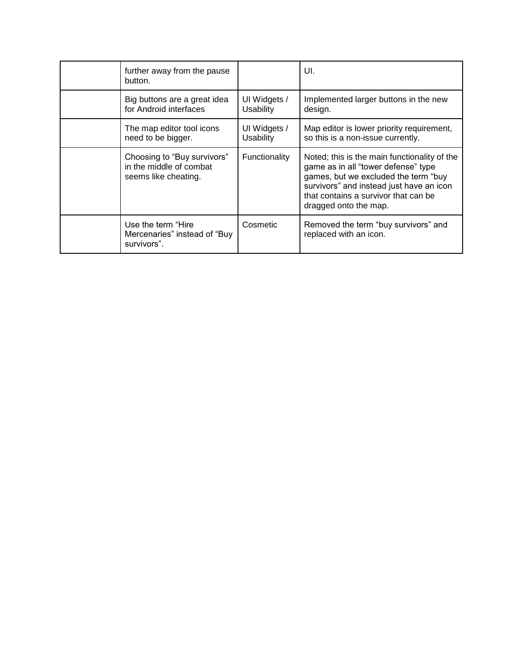| further away from the pause<br>button.                                         |                           | UI.                                                                                                                                                                                                                                      |
|--------------------------------------------------------------------------------|---------------------------|------------------------------------------------------------------------------------------------------------------------------------------------------------------------------------------------------------------------------------------|
| Big buttons are a great idea<br>for Android interfaces                         | UI Widgets /<br>Usability | Implemented larger buttons in the new<br>design.                                                                                                                                                                                         |
| The map editor tool icons<br>need to be bigger.                                | UI Widgets /<br>Usability | Map editor is lower priority requirement,<br>so this is a non-issue currently.                                                                                                                                                           |
| Choosing to "Buy survivors"<br>in the middle of combat<br>seems like cheating. | Functionality             | Noted; this is the main functionality of the<br>game as in all "tower defense" type<br>games, but we excluded the term "buy<br>survivors" and instead just have an icon<br>that contains a survivor that can be<br>dragged onto the map. |
| Use the term "Hire"<br>Mercenaries" instead of "Buy"<br>survivors".            | Cosmetic                  | Removed the term "buy survivors" and<br>replaced with an icon.                                                                                                                                                                           |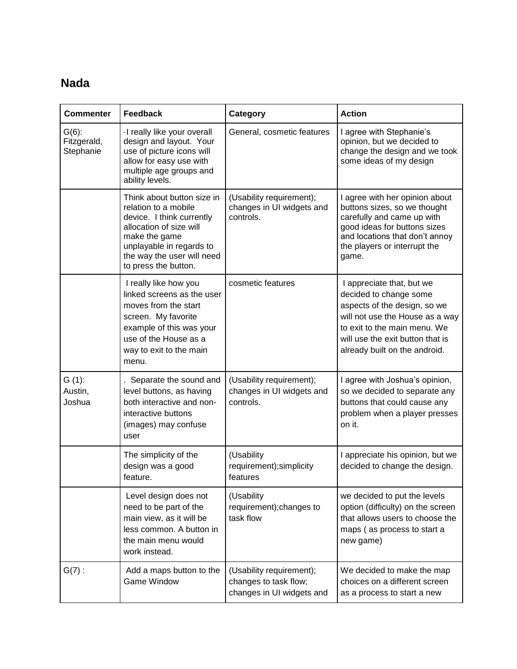### **Nada**

| <b>Commenter</b>                     | Feedback                                                                                                                                                                                                      | Category                                                                       | <b>Action</b>                                                                                                                                                                                                               |
|--------------------------------------|---------------------------------------------------------------------------------------------------------------------------------------------------------------------------------------------------------------|--------------------------------------------------------------------------------|-----------------------------------------------------------------------------------------------------------------------------------------------------------------------------------------------------------------------------|
| $G(6)$ :<br>Fitzgerald,<br>Stephanie | I really like your overall<br>design and layout. Your<br>use of picture icons will<br>allow for easy use with<br>multiple age groups and<br>ability levels.                                                   | General, cosmetic features                                                     | I agree with Stephanie's<br>opinion, but we decided to<br>change the design and we took<br>some ideas of my design                                                                                                          |
|                                      | Think about button size in<br>relation to a mobile<br>device. I think currently<br>allocation of size will<br>make the game<br>unplayable in regards to<br>the way the user will need<br>to press the button. | (Usability requirement);<br>changes in UI widgets and<br>controls.             | I agree with her opinion about<br>buttons sizes, so we thought<br>carefully and came up with<br>good ideas for buttons sizes<br>and locations that don't annoy<br>the players or interrupt the<br>game.                     |
|                                      | I really like how you<br>linked screens as the user<br>moves from the start<br>screen. My favorite<br>example of this was your<br>use of the House as a<br>way to exit to the main<br>menu.                   | cosmetic features                                                              | I appreciate that, but we<br>decided to change some<br>aspects of the design, so we<br>will not use the House as a way<br>to exit to the main menu. We<br>will use the exit button that is<br>already built on the android. |
| $G(1)$ :<br>Austin,<br>Joshua        | . Separate the sound and<br>level buttons, as having<br>both interactive and non-<br>interactive buttons<br>(images) may confuse<br>user                                                                      | (Usability requirement);<br>changes in UI widgets and<br>controls.             | I agree with Joshua's opinion,<br>so we decided to separate any<br>buttons that could cause any<br>problem when a player presses<br>on it.                                                                                  |
|                                      | The simplicity of the<br>design was a good<br>feature.                                                                                                                                                        | (Usability<br>requirement); simplicity<br>features                             | I appreciate his opinion, but we<br>decided to change the design.                                                                                                                                                           |
|                                      | Level design does not<br>need to be part of the<br>main view, as it will be<br>less common. A button in<br>the main menu would<br>work instead.                                                               | (Usability<br>requirement); changes to<br>task flow                            | we decided to put the levels<br>option (difficulty) on the screen<br>that allows users to choose the<br>maps (as process to start a<br>new game)                                                                            |
| $G(7)$ :                             | Add a maps button to the<br><b>Game Window</b>                                                                                                                                                                | (Usability requirement);<br>changes to task flow;<br>changes in UI widgets and | We decided to make the map<br>choices on a different screen<br>as a process to start a new                                                                                                                                  |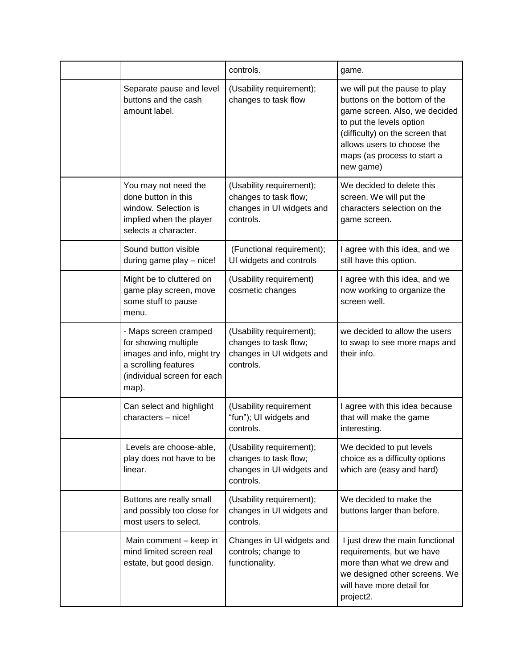|                                                                                                                                             | controls.                                                                                   | game.                                                                                                                                                                                                                                   |
|---------------------------------------------------------------------------------------------------------------------------------------------|---------------------------------------------------------------------------------------------|-----------------------------------------------------------------------------------------------------------------------------------------------------------------------------------------------------------------------------------------|
| Separate pause and level<br>buttons and the cash<br>amount label.                                                                           | (Usability requirement);<br>changes to task flow                                            | we will put the pause to play<br>buttons on the bottom of the<br>game screen. Also, we decided<br>to put the levels option<br>(difficulty) on the screen that<br>allows users to choose the<br>maps (as process to start a<br>new game) |
| You may not need the<br>done button in this<br>window. Selection is<br>implied when the player<br>selects a character.                      | (Usability requirement);<br>changes to task flow;<br>changes in UI widgets and<br>controls. | We decided to delete this<br>screen. We will put the<br>characters selection on the<br>game screen.                                                                                                                                     |
| Sound button visible<br>during game play - nice!                                                                                            | (Functional requirement);<br>UI widgets and controls                                        | I agree with this idea, and we<br>still have this option.                                                                                                                                                                               |
| Might be to cluttered on<br>game play screen, move<br>some stuff to pause<br>menu.                                                          | (Usability requirement)<br>cosmetic changes                                                 | I agree with this idea, and we<br>now working to organize the<br>screen well.                                                                                                                                                           |
| - Maps screen cramped<br>for showing multiple<br>images and info, might try<br>a scrolling features<br>(individual screen for each<br>map). | (Usability requirement);<br>changes to task flow;<br>changes in UI widgets and<br>controls. | we decided to allow the users<br>to swap to see more maps and<br>their info.                                                                                                                                                            |
| Can select and highlight<br>characters - nice!                                                                                              | (Usability requirement<br>"fun"); UI widgets and<br>controls.                               | I agree with this idea because<br>that will make the game<br>interesting.                                                                                                                                                               |
| Levels are choose-able,<br>play does not have to be<br>linear.                                                                              | (Usability requirement);<br>changes to task flow;<br>changes in UI widgets and<br>controls. | We decided to put levels<br>choice as a difficulty options<br>which are (easy and hard)                                                                                                                                                 |
| Buttons are really small<br>and possibly too close for<br>most users to select.                                                             | (Usability requirement);<br>changes in UI widgets and<br>controls.                          | We decided to make the<br>buttons larger than before.                                                                                                                                                                                   |
| Main comment - keep in<br>mind limited screen real<br>estate, but good design.                                                              | Changes in UI widgets and<br>controls; change to<br>functionality.                          | I just drew the main functional<br>requirements, but we have<br>more than what we drew and<br>we designed other screens. We<br>will have more detail for<br>project2.                                                                   |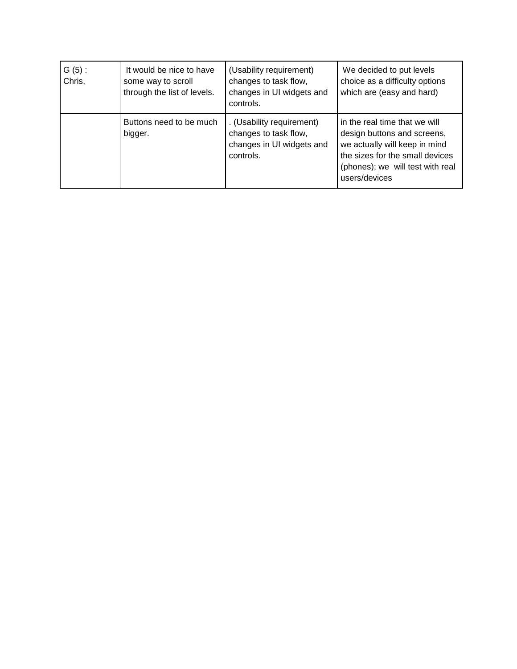| $G(5)$ :<br>Chris, | It would be nice to have<br>some way to scroll<br>through the list of levels. | (Usability requirement)<br>changes to task flow,<br>changes in UI widgets and<br>controls.   | We decided to put levels<br>choice as a difficulty options<br>which are (easy and hard)                                                                                               |
|--------------------|-------------------------------------------------------------------------------|----------------------------------------------------------------------------------------------|---------------------------------------------------------------------------------------------------------------------------------------------------------------------------------------|
|                    | Buttons need to be much<br>bigger.                                            | . (Usability requirement)<br>changes to task flow,<br>changes in UI widgets and<br>controls. | in the real time that we will<br>design buttons and screens,<br>we actually will keep in mind<br>the sizes for the small devices<br>(phones); we will test with real<br>users/devices |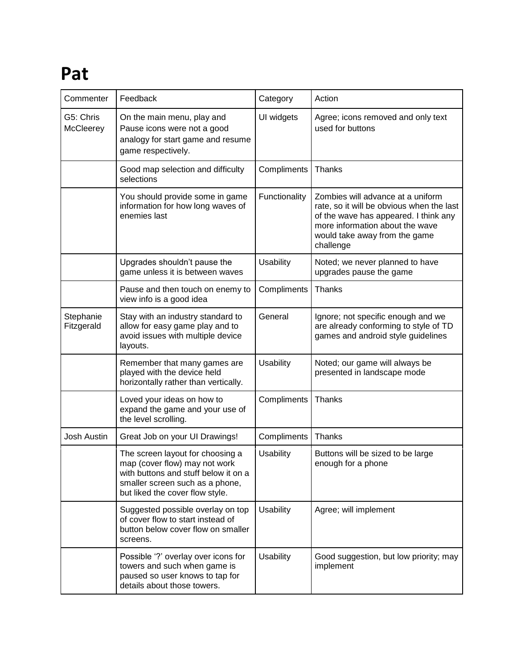# **Pat**

| Commenter               | Feedback                                                                                                                                                                        | Category         | Action                                                                                                                                                                                                   |
|-------------------------|---------------------------------------------------------------------------------------------------------------------------------------------------------------------------------|------------------|----------------------------------------------------------------------------------------------------------------------------------------------------------------------------------------------------------|
| G5: Chris<br>McCleerey  | On the main menu, play and<br>Pause icons were not a good<br>analogy for start game and resume<br>game respectively.                                                            | UI widgets       | Agree; icons removed and only text<br>used for buttons                                                                                                                                                   |
|                         | Good map selection and difficulty<br>selections                                                                                                                                 | Compliments      | Thanks                                                                                                                                                                                                   |
|                         | You should provide some in game<br>information for how long waves of<br>enemies last                                                                                            | Functionality    | Zombies will advance at a uniform<br>rate, so it will be obvious when the last<br>of the wave has appeared. I think any<br>more information about the wave<br>would take away from the game<br>challenge |
|                         | Upgrades shouldn't pause the<br>game unless it is between waves                                                                                                                 | <b>Usability</b> | Noted; we never planned to have<br>upgrades pause the game                                                                                                                                               |
|                         | Pause and then touch on enemy to<br>view info is a good idea                                                                                                                    | Compliments      | Thanks                                                                                                                                                                                                   |
| Stephanie<br>Fitzgerald | Stay with an industry standard to<br>allow for easy game play and to<br>avoid issues with multiple device<br>layouts.                                                           | General          | Ignore; not specific enough and we<br>are already conforming to style of TD<br>games and android style guidelines                                                                                        |
|                         | Remember that many games are<br>played with the device held<br>horizontally rather than vertically.                                                                             | <b>Usability</b> | Noted; our game will always be<br>presented in landscape mode                                                                                                                                            |
|                         | Loved your ideas on how to<br>expand the game and your use of<br>the level scrolling.                                                                                           | Compliments      | Thanks                                                                                                                                                                                                   |
| Josh Austin             | Great Job on your UI Drawings!                                                                                                                                                  | Compliments      | Thanks                                                                                                                                                                                                   |
|                         | The screen layout for choosing a<br>map (cover flow) may not work<br>with buttons and stuff below it on a<br>smaller screen such as a phone,<br>but liked the cover flow style. | <b>Usability</b> | Buttons will be sized to be large<br>enough for a phone                                                                                                                                                  |
|                         | Suggested possible overlay on top<br>of cover flow to start instead of<br>button below cover flow on smaller<br>screens.                                                        | <b>Usability</b> | Agree; will implement                                                                                                                                                                                    |
|                         | Possible '?' overlay over icons for<br>towers and such when game is<br>paused so user knows to tap for<br>details about those towers.                                           | <b>Usability</b> | Good suggestion, but low priority; may<br>implement                                                                                                                                                      |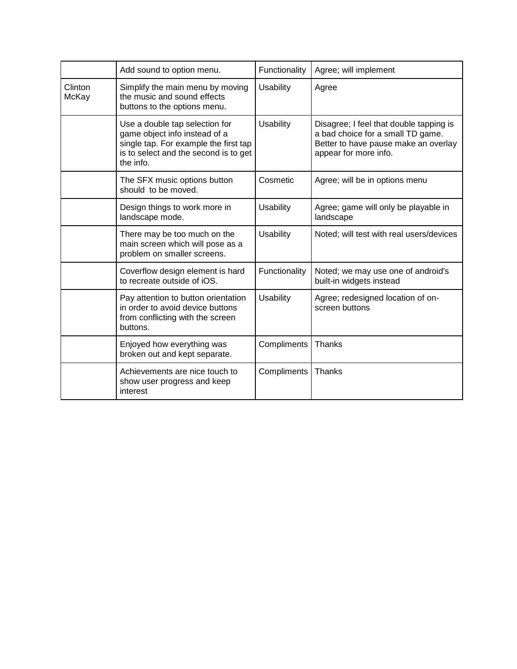|                  | Add sound to option menu.                                                                                                                                      | Functionality    | Agree; will implement                                                                                                                         |
|------------------|----------------------------------------------------------------------------------------------------------------------------------------------------------------|------------------|-----------------------------------------------------------------------------------------------------------------------------------------------|
| Clinton<br>McKay | Simplify the main menu by moving<br>the music and sound effects<br>buttons to the options menu.                                                                | <b>Usability</b> | Agree                                                                                                                                         |
|                  | Use a double tap selection for<br>game object info instead of a<br>single tap. For example the first tap<br>is to select and the second is to get<br>the info. | <b>Usability</b> | Disagree; I feel that double tapping is<br>a bad choice for a small TD game.<br>Better to have pause make an overlay<br>appear for more info. |
|                  | The SFX music options button<br>should to be moved.                                                                                                            | Cosmetic         | Agree; will be in options menu                                                                                                                |
|                  | Design things to work more in<br>landscape mode.                                                                                                               | <b>Usability</b> | Agree; game will only be playable in<br>landscape                                                                                             |
|                  | There may be too much on the<br>main screen which will pose as a<br>problem on smaller screens.                                                                | <b>Usability</b> | Noted; will test with real users/devices                                                                                                      |
|                  | Coverflow design element is hard<br>to recreate outside of iOS.                                                                                                | Functionality    | Noted; we may use one of android's<br>built-in widgets instead                                                                                |
|                  | Pay attention to button orientation<br>in order to avoid device buttons<br>from conflicting with the screen<br>buttons.                                        | Usability        | Agree; redesigned location of on-<br>screen buttons                                                                                           |
|                  | Enjoyed how everything was<br>broken out and kept separate.                                                                                                    | Compliments      | Thanks                                                                                                                                        |
|                  | Achievements are nice touch to<br>show user progress and keep<br>interest                                                                                      | Compliments      | Thanks                                                                                                                                        |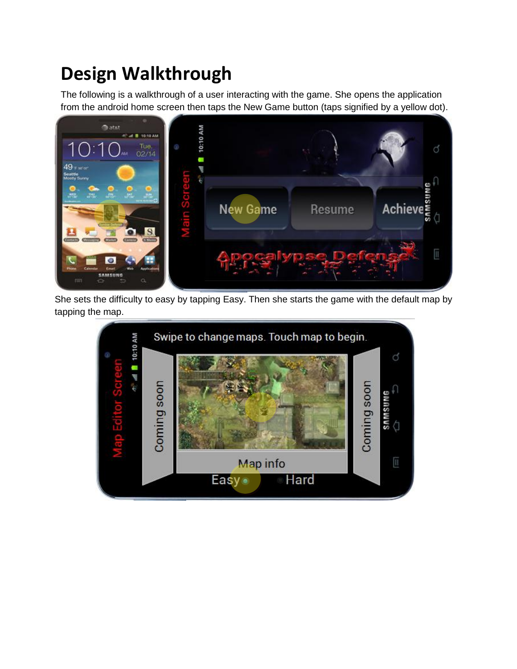## **Design Walkthrough**

The following is a walkthrough of a user interacting with the game. She opens the application from the android home screen then taps the New Game button (taps signified by a yellow dot).



She sets the difficulty to easy by tapping Easy. Then she starts the game with the default map by tapping the map.

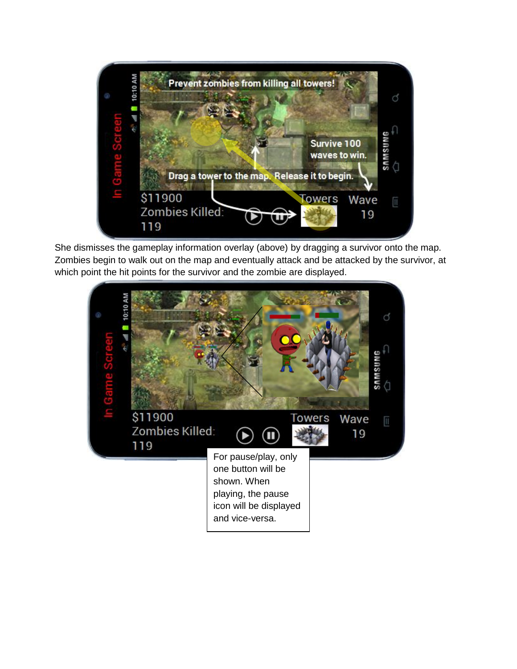

She dismisses the gameplay information overlay (above) by dragging a survivor onto the map. Zombies begin to walk out on the map and eventually attack and be attacked by the survivor, at which point the hit points for the survivor and the zombie are displayed.

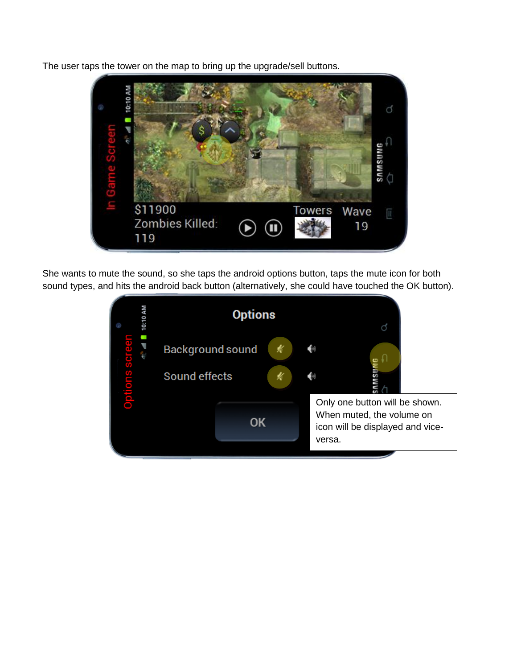The user taps the tower on the map to bring up the upgrade/sell buttons.



She wants to mute the sound, so she taps the android options button, taps the mute icon for both sound types, and hits the android back button (alternatively, she could have touched the OK button).

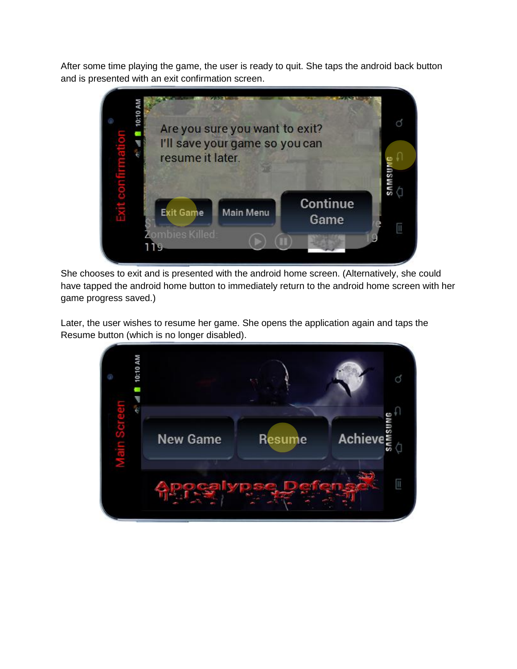After some time playing the game, the user is ready to quit. She taps the android back button and is presented with an exit confirmation screen.



She chooses to exit and is presented with the android home screen. (Alternatively, she could have tapped the android home button to immediately return to the android home screen with her game progress saved.)

Later, the user wishes to resume her game. She opens the application again and taps the Resume button (which is no longer disabled).

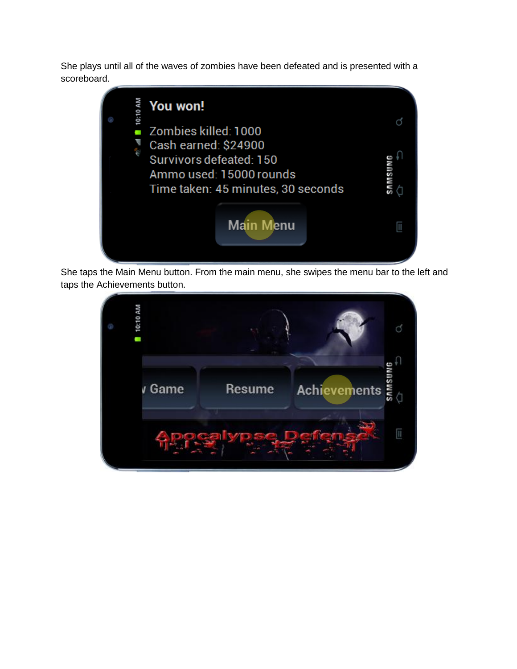She plays until all of the waves of zombies have been defeated and is presented with a scoreboard.



She taps the Main Menu button. From the main menu, she swipes the menu bar to the left and taps the Achievements button.